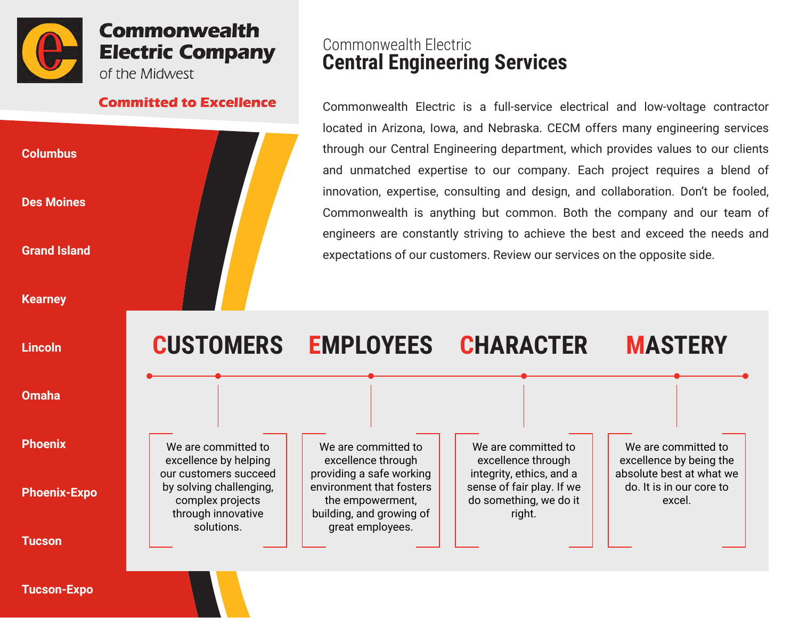

# **Commonwealth Electric Company** of the Midwest

#### **Committed to Excellence**



# Commonwealth Electric **Central Engineering Services**

Commonwealth Electric is a full-service electrical and low-voltage contractor located in Arizona, Iowa, and Nebraska. CECM offers many engineering services through our Central Engineering department, which provides values to our clients and unmatched expertise to our company. Each project requires a blend of innovation, expertise, consulting and design, and collaboration. Don't be fooled, Commonwealth is anything but common. Both the company and our team of engineers are constantly striving to achieve the best and exceed the needs and expectations of our customers. Review our services on the opposite side.



**Tucson-Expo**